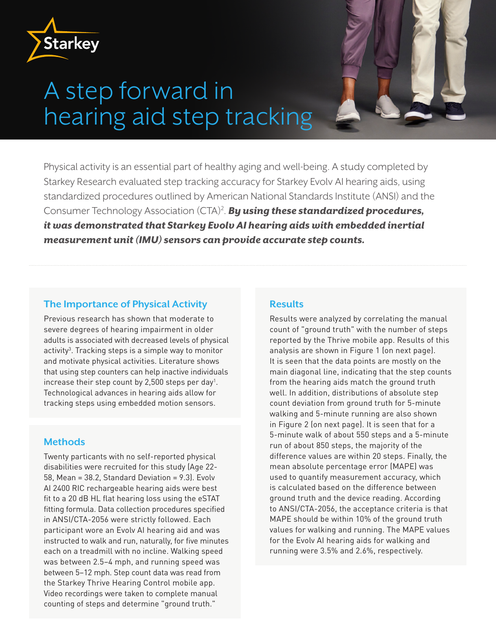

# A step forward in hearing aid step tracking

Physical activity is an essential part of healthy aging and well-being. A study completed by Starkey Research evaluated step tracking accuracy for Starkey Evolv AI hearing aids, using standardized procedures outlined by American National Standards Institute (ANSI) and the Consumer Technology Association (CTA)2 . *By using these standardized procedures, it was demonstrated that Starkey Evolv AI hearing aids with embedded inertial measurement unit (IMU) sensors can provide accurate step counts.*

## **The Importance of Physical Activity**

Previous research has shown that moderate to severe degrees of hearing impairment in older adults is associated with decreased levels of physical activity<sup>3</sup>. Tracking steps is a simple way to monitor and motivate physical activities. Literature shows that using step counters can help inactive individuals increase their step count by 2,500 steps per day1 . Technological advances in hearing aids allow for tracking steps using embedded motion sensors.

### **Methods**

Twenty particants with no self-reported physical disabilities were recruited for this study (Age 22- 58, Mean = 38.2, Standard Deviation = 9.3). Evolv AI 2400 RIC rechargeable hearing aids were best fit to a 20 dB HL flat hearing loss using the eSTAT fitting formula. Data collection procedures specified in ANSI/CTA-2056 were strictly followed. Each participant wore an Evolv AI hearing aid and was instructed to walk and run, naturally, for five minutes each on a treadmill with no incline. Walking speed was between 2.5–4 mph, and running speed was between 5–12 mph. Step count data was read from the Starkey Thrive Hearing Control mobile app. Video recordings were taken to complete manual counting of steps and determine "ground truth."

### **Results**

Results were analyzed by correlating the manual count of "ground truth" with the number of steps reported by the Thrive mobile app. Results of this analysis are shown in Figure 1 (on next page). It is seen that the data points are mostly on the main diagonal line, indicating that the step counts from the hearing aids match the ground truth well. In addition, distributions of absolute step count deviation from ground truth for 5-minute walking and 5-minute running are also shown in Figure 2 (on next page). It is seen that for a 5-minute walk of about 550 steps and a 5-minute run of about 850 steps, the majority of the difference values are within 20 steps. Finally, the mean absolute percentage error (MAPE) was used to quantify measurement accuracy, which is calculated based on the difference between ground truth and the device reading. According to ANSI/CTA-2056, the acceptance criteria is that MAPE should be within 10% of the ground truth values for walking and running. The MAPE values for the Evolv AI hearing aids for walking and running were 3.5% and 2.6%, respectively.